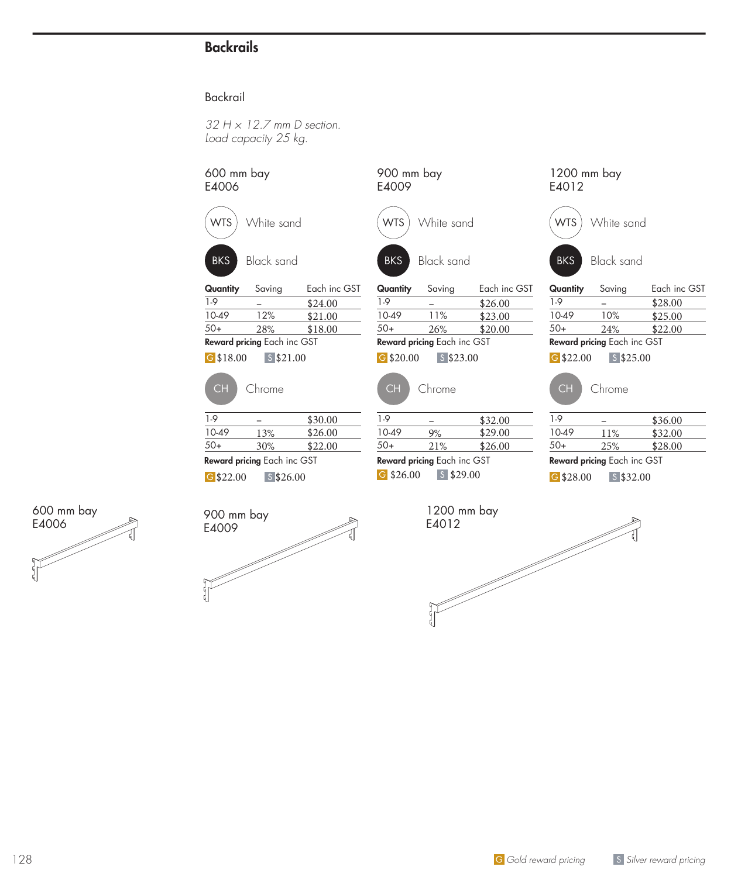## **Backrails**

## Backrail

*32 H × 12.7 mm D section. Load capacity 25 kg.*

| 600 mm bay<br>E4006 |                             |              | 900 mm bay<br>E4009 |                             |              | 1200 mm bay<br>E4012 |                             |              |
|---------------------|-----------------------------|--------------|---------------------|-----------------------------|--------------|----------------------|-----------------------------|--------------|
| <b>WTS</b>          | White sand                  |              | <b>WTS</b>          | White sand                  |              | <b>WTS</b>           | White sand                  |              |
| <b>BKS</b>          | <b>Black sand</b>           |              | <b>BKS</b>          | <b>Black sand</b>           |              | <b>BKS</b>           | <b>Black sand</b>           |              |
| Quantity            | Saving                      | Each inc GST | Quantity            | Saving                      | Each inc GST | Quantity             | Saving                      | Each inc GST |
| $1-9$               |                             | \$24.00      | $1-9$               |                             | \$26.00      | $1-9$                |                             | \$28.00      |
| 10-49               | 12%                         | \$21.00      | 10-49               | 11%                         | \$23.00      | 10-49                | 10%                         | \$25.00      |
| $50+$               | 28%                         | \$18.00      | $50+$               | 26%                         | \$20.00      | $50+$                | 24%                         | \$22.00      |
|                     | Reward pricing Each inc GST |              |                     | Reward pricing Each inc GST |              |                      | Reward pricing Each inc GST |              |
| $G$ \$18.00         | $S$ \$21.00                 |              | $G$ \$20.00         | $S$ \$23.00                 |              | $G$ \$22.00          | $S$ \$25.00                 |              |
| <b>CH</b>           | Chrome                      |              | <b>CH</b>           | Chrome                      |              | <b>CH</b>            | Chrome                      |              |
| $1-9$               |                             | \$30.00      | $1-9$               |                             | \$32.00      | $1-9$                | $\overline{\phantom{0}}$    | \$36.00      |
| 10-49               | 13%                         | \$26.00      | 10-49               | 9%                          | \$29.00      | 10-49                | 11%                         | \$32.00      |
| $50+$               | 30%                         | \$22.00      | $50+$               | 21%                         | \$26.00      | $50+$                | 25%                         | \$28.00      |
|                     | Reward pricing Each inc GST |              |                     | Reward pricing Each inc GST |              |                      | Reward pricing Each inc GST |              |
| G \$22.00           | $S$ \$26.00                 |              | G \$26.00           | $S$ \$29.00                 |              | $G$ \$28.00          | $S$ \$32.00                 |              |
| 900 mm bay          |                             |              |                     | 1200 mm bay                 |              |                      |                             |              |
| E4009               |                             |              |                     | E4012                       |              |                      |                             |              |
|                     |                             |              |                     |                             |              |                      |                             |              |
|                     |                             |              |                     |                             |              |                      |                             |              |
|                     |                             |              |                     |                             |              |                      |                             |              |
|                     |                             |              |                     |                             |              |                      |                             |              |
|                     |                             |              |                     |                             |              |                      |                             |              |





128